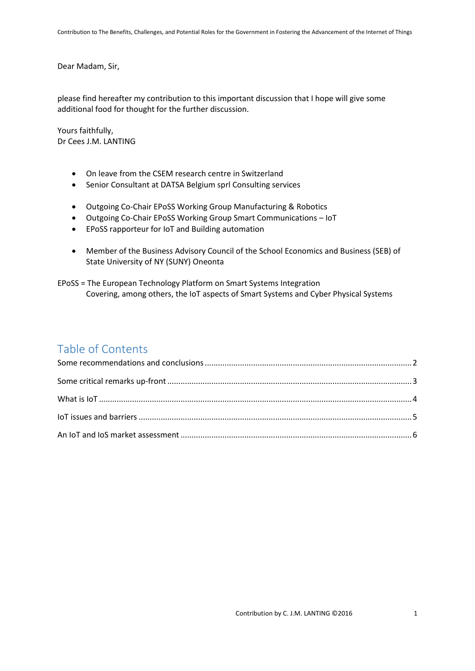Dear Madam, Sir,

please find hereafter my contribution to this important discussion that I hope will give some additional food for thought for the further discussion.

Yours faithfully, Dr Cees J.M. LANTING

- On leave from the CSEM research centre in Switzerland
- Senior Consultant at DATSA Belgium sprl Consulting services
- Outgoing Co-Chair EPoSS Working Group Manufacturing & Robotics
- Outgoing Co-Chair EPoSS Working Group Smart Communications IoT
- EPoSS rapporteur for IoT and Building automation
- Member of the Business Advisory Council of the School Economics and Business (SEB) of State University of NY (SUNY) Oneonta

EPoSS = The European Technology Platform on Smart Systems Integration Covering, among others, the IoT aspects of Smart Systems and Cyber Physical Systems

## Table of Contents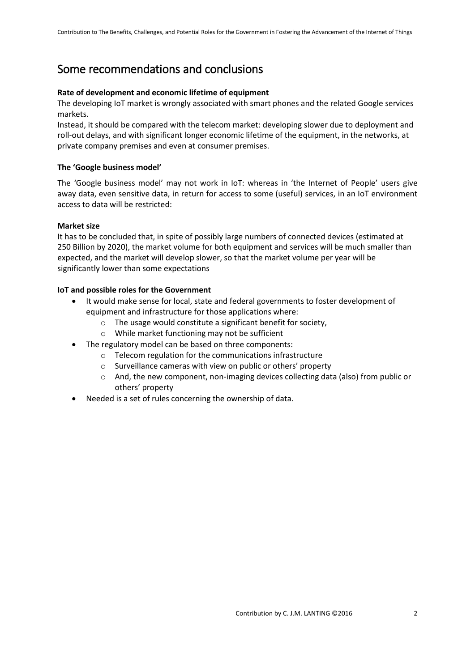# <span id="page-1-0"></span>Some recommendations and conclusions

## **Rate of development and economic lifetime of equipment**

The developing IoT market is wrongly associated with smart phones and the related Google services markets.

Instead, it should be compared with the telecom market: developing slower due to deployment and roll-out delays, and with significant longer economic lifetime of the equipment, in the networks, at private company premises and even at consumer premises.

## **The 'Google business model'**

The 'Google business model' may not work in IoT: whereas in 'the Internet of People' users give away data, even sensitive data, in return for access to some (useful) services, in an IoT environment access to data will be restricted:

## **Market size**

It has to be concluded that, in spite of possibly large numbers of connected devices (estimated at 250 Billion by 2020), the market volume for both equipment and services will be much smaller than expected, and the market will develop slower, so that the market volume per year will be significantly lower than some expectations

## **IoT and possible roles for the Government**

- It would make sense for local, state and federal governments to foster development of equipment and infrastructure for those applications where:
	- o The usage would constitute a significant benefit for society,
	- o While market functioning may not be sufficient
- The regulatory model can be based on three components:
	- o Telecom regulation for the communications infrastructure
	- o Surveillance cameras with view on public or others' property
	- $\circ$  And, the new component, non-imaging devices collecting data (also) from public or others' property
- Needed is a set of rules concerning the ownership of data.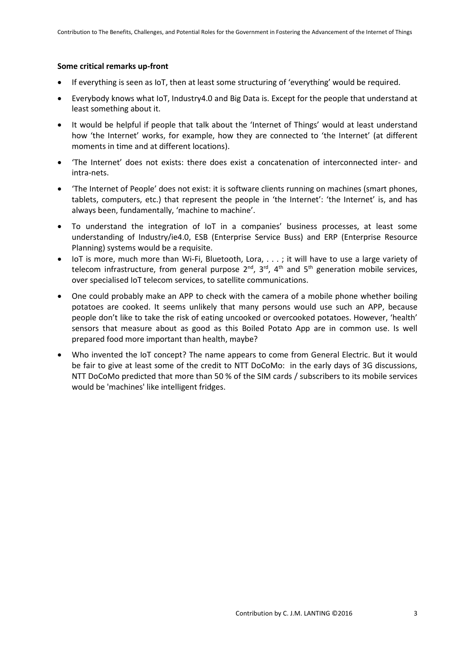#### <span id="page-2-0"></span>**Some critical remarks up-front**

- If everything is seen as IoT, then at least some structuring of 'everything' would be required.
- Everybody knows what IoT, Industry4.0 and Big Data is. Except for the people that understand at least something about it.
- It would be helpful if people that talk about the 'Internet of Things' would at least understand how 'the Internet' works, for example, how they are connected to 'the Internet' (at different moments in time and at different locations).
- 'The Internet' does not exists: there does exist a concatenation of interconnected inter- and intra-nets.
- 'The Internet of People' does not exist: it is software clients running on machines (smart phones, tablets, computers, etc.) that represent the people in 'the Internet': 'the Internet' is, and has always been, fundamentally, 'machine to machine'.
- To understand the integration of IoT in a companies' business processes, at least some understanding of Industry/ie4.0, ESB (Enterprise Service Buss) and ERP (Enterprise Resource Planning) systems would be a requisite.
- IoT is more, much more than Wi-Fi, Bluetooth, Lora, . . . ; it will have to use a large variety of telecom infrastructure, from general purpose  $2^{nd}$ ,  $3^{rd}$ ,  $4^{th}$  and  $5^{th}$  generation mobile services, over specialised IoT telecom services, to satellite communications.
- One could probably make an APP to check with the camera of a mobile phone whether boiling potatoes are cooked. It seems unlikely that many persons would use such an APP, because people don't like to take the risk of eating uncooked or overcooked potatoes. However, 'health' sensors that measure about as good as this Boiled Potato App are in common use. Is well prepared food more important than health, maybe?
- Who invented the IoT concept? The name appears to come from General Electric. But it would be fair to give at least some of the credit to NTT DoCoMo: in the early days of 3G discussions, NTT DoCoMo predicted that more than 50 % of the SIM cards / subscribers to its mobile services would be 'machines' like intelligent fridges.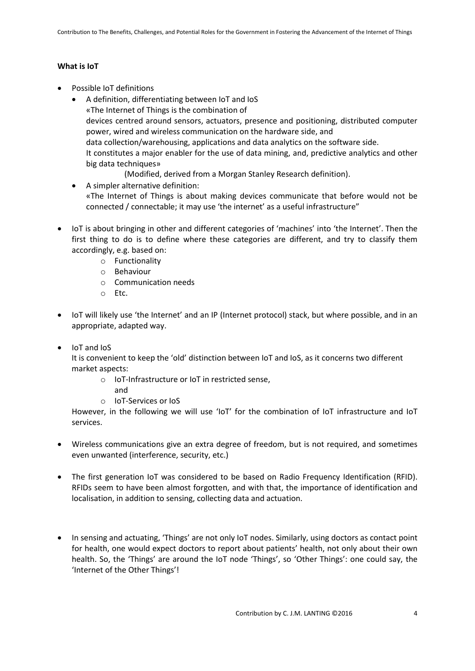## <span id="page-3-0"></span>**What is IoT**

- Possible IoT definitions
	- A definition, differentiating between IoT and IoS «The Internet of Things is the combination of devices centred around sensors, actuators, presence and positioning, distributed computer power, wired and wireless communication on the hardware side, and data collection/warehousing, applications and data analytics on the software side. It constitutes a major enabler for the use of data mining, and, predictive analytics and other big data techniques»
		- (Modified, derived from a Morgan Stanley Research definition).
	- A simpler alternative definition: «The Internet of Things is about making devices communicate that before would not be connected / connectable; it may use 'the internet' as a useful infrastructure"
- IoT is about bringing in other and different categories of 'machines' into 'the Internet'. Then the first thing to do is to define where these categories are different, and try to classify them accordingly, e.g. based on:
	- o Functionality
	- o Behaviour
	- o Communication needs
	- o Etc.
- IoT will likely use 'the Internet' and an IP (Internet protocol) stack, but where possible, and in an appropriate, adapted way.
- IoT and IoS

It is convenient to keep the 'old' distinction between IoT and IoS, as it concerns two different market aspects:

- o IoT-Infrastructure or IoT in restricted sense,
	- and
- o IoT-Services or IoS

However, in the following we will use 'IoT' for the combination of IoT infrastructure and IoT services.

- Wireless communications give an extra degree of freedom, but is not required, and sometimes even unwanted (interference, security, etc.)
- The first generation IoT was considered to be based on Radio Frequency Identification (RFID). RFIDs seem to have been almost forgotten, and with that, the importance of identification and localisation, in addition to sensing, collecting data and actuation.
- In sensing and actuating, 'Things' are not only IoT nodes. Similarly, using doctors as contact point for health, one would expect doctors to report about patients' health, not only about their own health. So, the 'Things' are around the IoT node 'Things', so 'Other Things': one could say, the 'Internet of the Other Things'!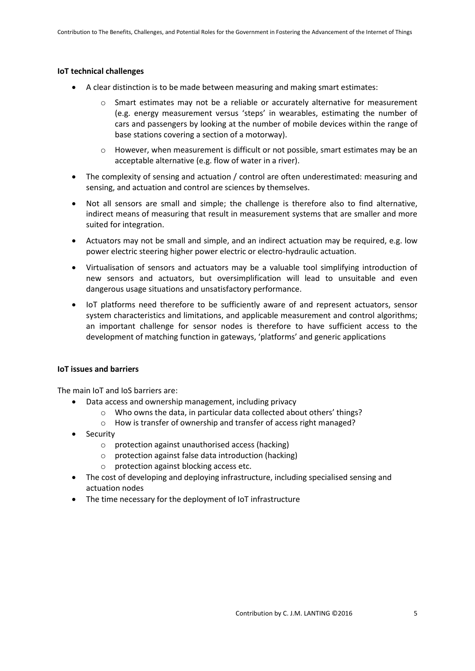#### **IoT technical challenges**

- A clear distinction is to be made between measuring and making smart estimates:
	- $\circ$  Smart estimates may not be a reliable or accurately alternative for measurement (e.g. energy measurement versus 'steps' in wearables, estimating the number of cars and passengers by looking at the number of mobile devices within the range of base stations covering a section of a motorway).
	- $\circ$  However, when measurement is difficult or not possible, smart estimates may be an acceptable alternative (e.g. flow of water in a river).
- The complexity of sensing and actuation / control are often underestimated: measuring and sensing, and actuation and control are sciences by themselves.
- Not all sensors are small and simple; the challenge is therefore also to find alternative, indirect means of measuring that result in measurement systems that are smaller and more suited for integration.
- Actuators may not be small and simple, and an indirect actuation may be required, e.g. low power electric steering higher power electric or electro-hydraulic actuation.
- Virtualisation of sensors and actuators may be a valuable tool simplifying introduction of new sensors and actuators, but oversimplification will lead to unsuitable and even dangerous usage situations and unsatisfactory performance.
- IoT platforms need therefore to be sufficiently aware of and represent actuators, sensor system characteristics and limitations, and applicable measurement and control algorithms; an important challenge for sensor nodes is therefore to have sufficient access to the development of matching function in gateways, 'platforms' and generic applications

#### <span id="page-4-0"></span>**IoT issues and barriers**

The main IoT and IoS barriers are:

- Data access and ownership management, including privacy
	- o Who owns the data, in particular data collected about others' things?
	- o How is transfer of ownership and transfer of access right managed?
- Security
	- o protection against unauthorised access (hacking)
	- o protection against false data introduction (hacking)
	- o protection against blocking access etc.
- The cost of developing and deploying infrastructure, including specialised sensing and actuation nodes
- The time necessary for the deployment of IoT infrastructure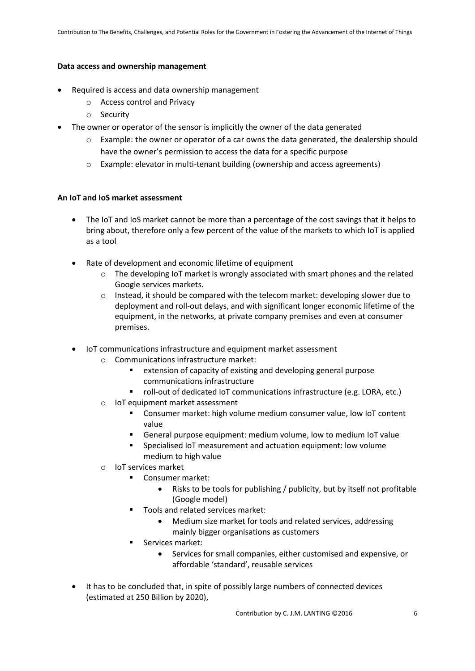## **Data access and ownership management**

- Required is access and data ownership management
	- o Access control and Privacy
	- o Security
- The owner or operator of the sensor is implicitly the owner of the data generated
	- $\circ$  Example: the owner or operator of a car owns the data generated, the dealership should have the owner's permission to access the data for a specific purpose
	- o Example: elevator in multi-tenant building (ownership and access agreements)

## <span id="page-5-0"></span>**An IoT and IoS market assessment**

- The IoT and IoS market cannot be more than a percentage of the cost savings that it helps to bring about, therefore only a few percent of the value of the markets to which IoT is applied as a tool
- Rate of development and economic lifetime of equipment
	- o The developing IoT market is wrongly associated with smart phones and the related Google services markets.
	- $\circ$  Instead, it should be compared with the telecom market: developing slower due to deployment and roll-out delays, and with significant longer economic lifetime of the equipment, in the networks, at private company premises and even at consumer premises.
- IoT communications infrastructure and equipment market assessment
	- o Communications infrastructure market:
		- **EXTER** extension of capacity of existing and developing general purpose communications infrastructure
		- roll-out of dedicated IoT communications infrastructure (e.g. LORA, etc.)
	- o IoT equipment market assessment
		- Consumer market: high volume medium consumer value, low IoT content value
		- General purpose equipment: medium volume, low to medium IoT value
			- Specialised IoT measurement and actuation equipment: low volume medium to high value
	- o IoT services market
		- **Consumer market:** 
			- Risks to be tools for publishing / publicity, but by itself not profitable (Google model)
		- Tools and related services market:
			- Medium size market for tools and related services, addressing mainly bigger organisations as customers
		- **Services market:** 
			- Services for small companies, either customised and expensive, or affordable 'standard', reusable services
- It has to be concluded that, in spite of possibly large numbers of connected devices (estimated at 250 Billion by 2020),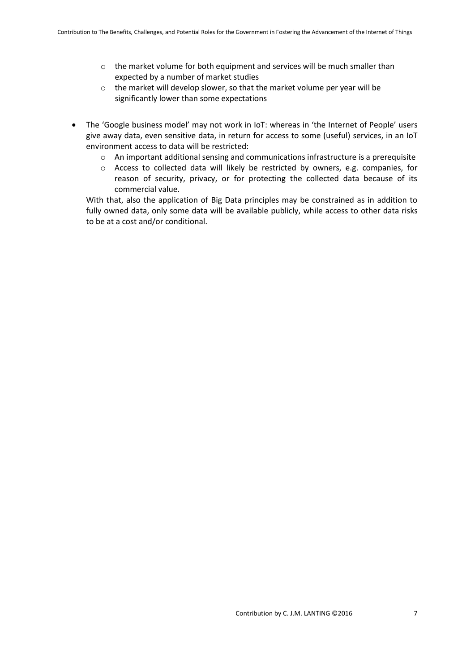- $\circ$  the market volume for both equipment and services will be much smaller than expected by a number of market studies
- o the market will develop slower, so that the market volume per year will be significantly lower than some expectations
- The 'Google business model' may not work in IoT: whereas in 'the Internet of People' users give away data, even sensitive data, in return for access to some (useful) services, in an IoT environment access to data will be restricted:
	- $\circ$  An important additional sensing and communications infrastructure is a prerequisite
	- o Access to collected data will likely be restricted by owners, e.g. companies, for reason of security, privacy, or for protecting the collected data because of its commercial value.

With that, also the application of Big Data principles may be constrained as in addition to fully owned data, only some data will be available publicly, while access to other data risks to be at a cost and/or conditional.